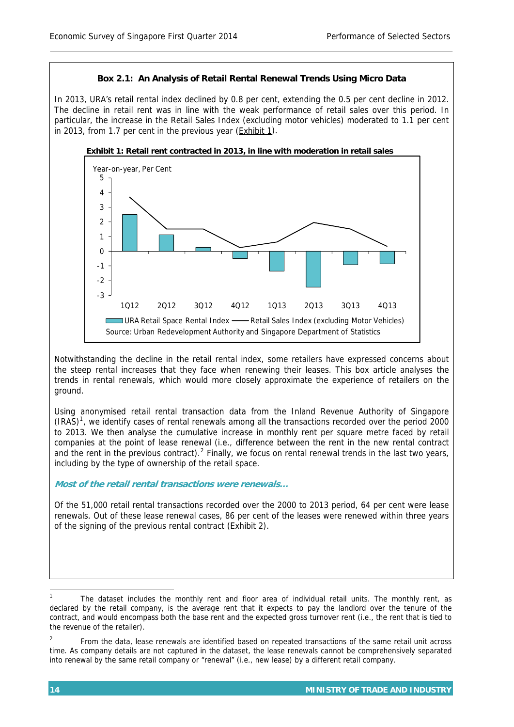## **Box 2.1: An Analysis of Retail Rental Renewal Trends Using Micro Data**

In 2013, URA's retail rental index declined by 0.8 per cent, extending the 0.5 per cent decline in 2012. The decline in retail rent was in line with the weak performance of retail sales over this period. In particular, the increase in the Retail Sales Index (excluding motor vehicles) moderated to 1.1 per cent in 2013, from 1.7 per cent in the previous year (Exhibit 1).





Notwithstanding the decline in the retail rental index, some retailers have expressed concerns about the steep rental increases that they face when renewing their leases. This box article analyses the trends in rental renewals, which would more closely approximate the experience of retailers on the ground.

Using anonymised retail rental transaction data from the Inland Revenue Authority of Singapore  $(IRAS)<sup>1</sup>$  $(IRAS)<sup>1</sup>$  $(IRAS)<sup>1</sup>$ , we identify cases of rental renewals among all the transactions recorded over the period 2000 to 2013. We then analyse the cumulative increase in monthly rent per square metre faced by retail companies at the point of lease renewal (i.e., difference between the rent in the new rental contract and the rent in the previous contract).  $2$  Finally, we focus on rental renewal trends in the last two years, including by the type of ownership of the retail space.

**Most of the retail rental transactions were renewals…** 

Of the 51,000 retail rental transactions recorded over the 2000 to 2013 period, 64 per cent were lease renewals. Out of these lease renewal cases, 86 per cent of the leases were renewed within three years of the signing of the previous rental contract (Exhibit 2).

<span id="page-0-0"></span> 1 The dataset includes the monthly rent and floor area of individual retail units. The monthly rent, as declared by the retail company, is the average rent that it expects to pay the landlord over the tenure of the contract, and would encompass both the base rent and the expected gross turnover rent (i.e., the rent that is tied to the revenue of the retailer).

<span id="page-0-1"></span> $\overline{2}$  From the data, lease renewals are identified based on repeated transactions of the same retail unit across time. As company details are not captured in the dataset, the lease renewals cannot be comprehensively separated into renewal by the same retail company or "renewal" (i.e., new lease) by a different retail company.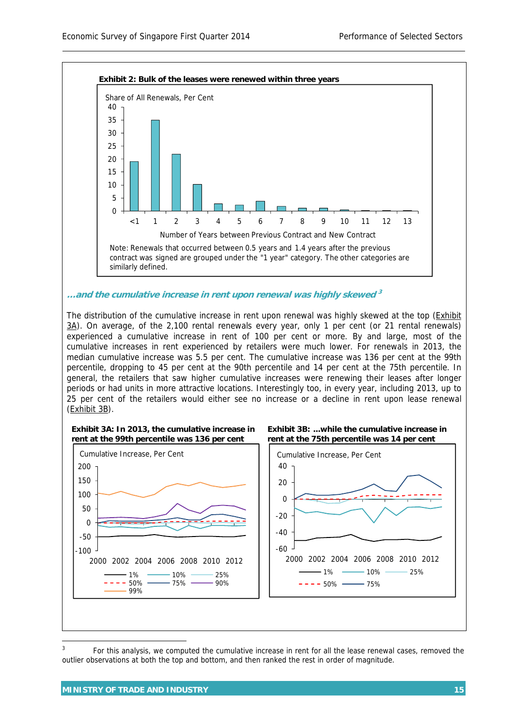

-60 -40

> 2000 2002 2004 2006 2008 2010 2012  $-1\%$  - 10% - 25%

 $--- 50\% 75\%$ 

99%

2000 2002 2004 2006 2008 2010 2012

1% 10% 25%  $- - - 50\%$   $- - 75\%$   $- - 90\%$ 

 $\overline{a}$ 

-100 -50  $\Omega$ 

<span id="page-1-0"></span><sup>3</sup> For this analysis, we computed the cumulative increase in rent for all the lease renewal cases, removed the outlier observations at both the top and bottom, and then ranked the rest in order of magnitude.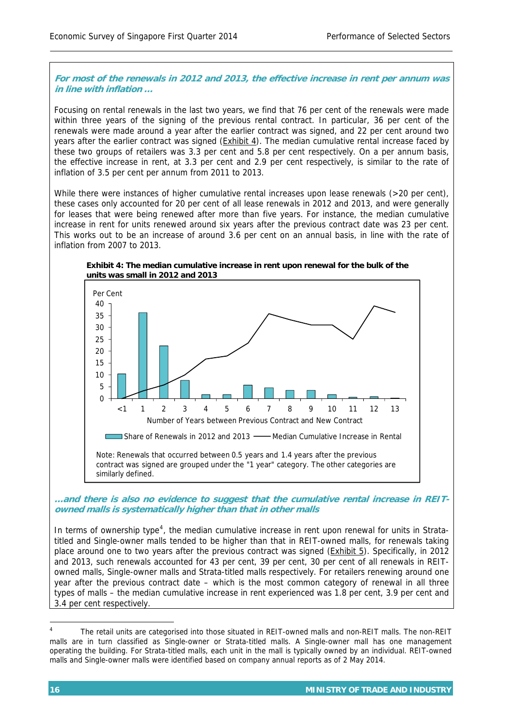## **For most of the renewals in 2012 and 2013, the effective increase in rent per annum was in line with inflation …**

Focusing on rental renewals in the last two years, we find that 76 per cent of the renewals were made within three years of the signing of the previous rental contract. In particular, 36 per cent of the renewals were made around a year after the earlier contract was signed, and 22 per cent around two years after the earlier contract was signed (Exhibit 4). The median cumulative rental increase faced by these two groups of retailers was 3.3 per cent and 5.8 per cent respectively. On a per annum basis, the effective increase in rent, at 3.3 per cent and 2.9 per cent respectively, is similar to the rate of inflation of 3.5 per cent per annum from 2011 to 2013.

While there were instances of higher cumulative rental increases upon lease renewals (>20 per cent), these cases only accounted for 20 per cent of all lease renewals in 2012 and 2013, and were generally for leases that were being renewed after more than five years. For instance, the median cumulative increase in rent for units renewed around six years after the previous contract date was 23 per cent. This works out to be an increase of around 3.6 per cent on an annual basis, in line with the rate of inflation from 2007 to 2013.

**Exhibit 4: The median cumulative increase in rent upon renewal for the bulk of the units was small in 2012 and 2013**



**…and there is also no evidence to suggest that the cumulative rental increase in REITowned malls is systematically higher than that in other malls** 

In terms of ownership type<sup>[4](#page-2-0)</sup>, the median cumulative increase in rent upon renewal for units in Stratatitled and Single-owner malls tended to be higher than that in REIT-owned malls, for renewals taking place around one to two years after the previous contract was signed (Exhibit 5). Specifically, in 2012 and 2013, such renewals accounted for 43 per cent, 39 per cent, 30 per cent of all renewals in REITowned malls, Single-owner malls and Strata-titled malls respectively. For retailers renewing around one year after the previous contract date – which is the most common category of renewal in all three types of malls – the median cumulative increase in rent experienced was 1.8 per cent, 3.9 per cent and 3.4 per cent respectively.

 $\overline{a}$ 

<span id="page-2-0"></span><sup>4</sup> The retail units are categorised into those situated in REIT-owned malls and non-REIT malls. The non-REIT malls are in turn classified as Single-owner or Strata-titled malls. A Single-owner mall has one management operating the building. For Strata-titled malls, each unit in the mall is typically owned by an individual. REIT-owned malls and Single-owner malls were identified based on company annual reports as of 2 May 2014.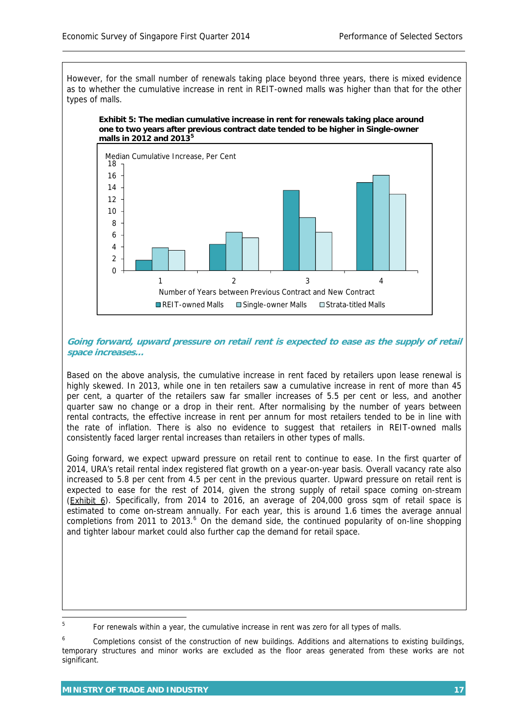However, for the small number of renewals taking place beyond three years, there is mixed evidence as to whether the cumulative increase in rent in REIT-owned malls was higher than that for the other types of malls.





## **Going forward, upward pressure on retail rent is expected to ease as the supply of retail space increases…**

Based on the above analysis, the cumulative increase in rent faced by retailers upon lease renewal is highly skewed. In 2013, while one in ten retailers saw a cumulative increase in rent of more than 45 per cent, a quarter of the retailers saw far smaller increases of 5.5 per cent or less, and another quarter saw no change or a drop in their rent. After normalising by the number of years between rental contracts, the effective increase in rent per annum for most retailers tended to be in line with the rate of inflation. There is also no evidence to suggest that retailers in REIT-owned malls consistently faced larger rental increases than retailers in other types of malls.

Going forward, we expect upward pressure on retail rent to continue to ease. In the first quarter of 2014, URA's retail rental index registered flat growth on a year-on-year basis. Overall vacancy rate also increased to 5.8 per cent from 4.5 per cent in the previous quarter. Upward pressure on retail rent is expected to ease for the rest of 2014, given the strong supply of retail space coming on-stream (Exhibit 6). Specifically, from 2014 to 2016, an average of 204,000 gross sqm of retail space is estimated to come on-stream annually. For each year, this is around 1.6 times the average annual completions from 2011 to 2013.<sup>[6](#page-3-1)</sup> On the demand side, the continued popularity of on-line shopping and tighter labour market could also further cap the demand for retail space.

<span id="page-3-0"></span><sup>—&</sup>lt;br>5 For renewals within a year, the cumulative increase in rent was zero for all types of malls.

<span id="page-3-1"></span><sup>6</sup> Completions consist of the construction of new buildings. Additions and alternations to existing buildings, temporary structures and minor works are excluded as the floor areas generated from these works are not significant.